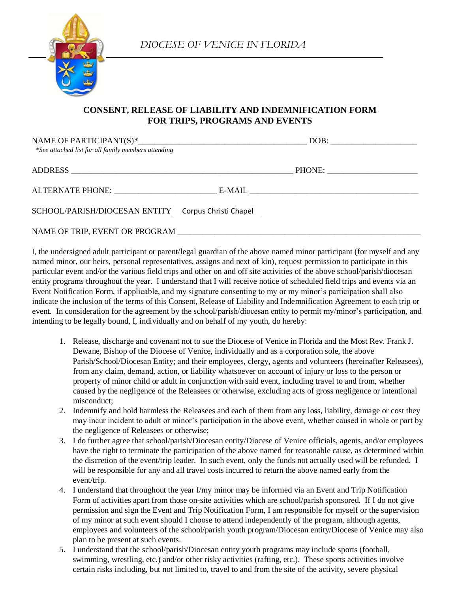

## **CONSENT, RELEASE OF LIABILITY AND INDEMNIFICATION FORM FOR TRIPS, PROGRAMS AND EVENTS**

| *See attached list for all family members attending |        |  |
|-----------------------------------------------------|--------|--|
|                                                     | PHONE: |  |
|                                                     |        |  |
| SCHOOL/PARISH/DIOCESAN ENTITY Corpus Christi Chapel |        |  |

I, the undersigned adult participant or parent/legal guardian of the above named minor participant (for myself and any named minor, our heirs, personal representatives, assigns and next of kin), request permission to participate in this particular event and/or the various field trips and other on and off site activities of the above school/parish/diocesan entity programs throughout the year. I understand that I will receive notice of scheduled field trips and events via an Event Notification Form, if applicable, and my signature consenting to my or my minor's participation shall also indicate the inclusion of the terms of this Consent, Release of Liability and Indemnification Agreement to each trip or event. In consideration for the agreement by the school/parish/diocesan entity to permit my/minor's participation, and

NAME OF TRIP, EVENT OR PROGRAM

intending to be legally bound, I, individually and on behalf of my youth, do hereby:

- 1. Release, discharge and covenant not to sue the Diocese of Venice in Florida and the Most Rev. Frank J. Dewane, Bishop of the Diocese of Venice, individually and as a corporation sole, the above Parish/School/Diocesan Entity; and their employees, clergy, agents and volunteers (hereinafter Releasees), from any claim, demand, action, or liability whatsoever on account of injury or loss to the person or property of minor child or adult in conjunction with said event, including travel to and from, whether caused by the negligence of the Releasees or otherwise, excluding acts of gross negligence or intentional misconduct;
- 2. Indemnify and hold harmless the Releasees and each of them from any loss, liability, damage or cost they may incur incident to adult or minor's participation in the above event, whether caused in whole or part by the negligence of Releasees or otherwise;
- 3. I do further agree that school/parish/Diocesan entity/Diocese of Venice officials, agents, and/or employees have the right to terminate the participation of the above named for reasonable cause, as determined within the discretion of the event/trip leader. In such event, only the funds not actually used will be refunded. I will be responsible for any and all travel costs incurred to return the above named early from the event/trip.
- 4. I understand that throughout the year I/my minor may be informed via an Event and Trip Notification Form of activities apart from those on-site activities which are school/parish sponsored. If I do not give permission and sign the Event and Trip Notification Form, I am responsible for myself or the supervision of my minor at such event should I choose to attend independently of the program, although agents, employees and volunteers of the school/parish youth program/Diocesan entity/Diocese of Venice may also plan to be present at such events.
- 5. I understand that the school/parish/Diocesan entity youth programs may include sports (football, swimming, wrestling, etc.) and/or other risky activities (rafting, etc.). These sports activities involve certain risks including, but not limited to, travel to and from the site of the activity, severe physical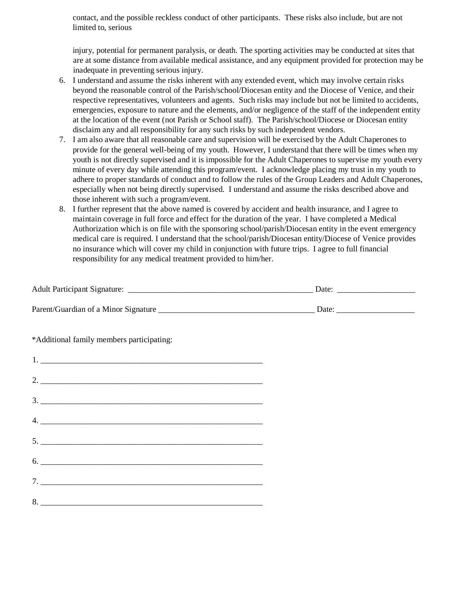contact, and the possible reckless conduct of other participants. These risks also include, but are not limited to, serious

injury, potential for permanent paralysis, or death. The sporting activities may be conducted at sites that are at some distance from available medical assistance, and any equipment provided for protection may be inadequate in preventing serious injury.

- 6. I understand and assume the risks inherent with any extended event, which may involve certain risks beyond the reasonable control of the Parish/school/Diocesan entity and the Diocese of Venice, and their respective representatives, volunteers and agents. Such risks may include but not be limited to accidents, emergencies, exposure to nature and the elements, and/or negligence of the staff of the independent entity at the location of the event (not Parish or School staff). The Parish/school/Diocese or Diocesan entity disclaim any and all responsibility for any such risks by such independent vendors.
- 7. I am also aware that all reasonable care and supervision will be exercised by the Adult Chaperones to provide for the general well-being of my youth. However, I understand that there will be times when my youth is not directly supervised and it is impossible for the Adult Chaperones to supervise my youth every minute of every day while attending this program/event. I acknowledge placing my trust in my youth to adhere to proper standards of conduct and to follow the rules of the Group Leaders and Adult Chaperones, especially when not being directly supervised. I understand and assume the risks described above and those inherent with such a program/event.
- 8. I further represent that the above named is covered by accident and health insurance, and I agree to maintain coverage in full force and effect for the duration of the year. I have completed a Medical Authorization which is on file with the sponsoring school/parish/Diocesan entity in the event emergency medical care is required. I understand that the school/parish/Diocesan entity/Diocese of Venice provides no insurance which will cover my child in conjunction with future trips. I agree to full financial responsibility for any medical treatment provided to him/her.

| *Additional family members participating: |  |
|-------------------------------------------|--|
|                                           |  |
| 2.                                        |  |
| $\begin{tabular}{c} 3. \end{tabular}$     |  |
| 4.                                        |  |
| 5.                                        |  |
| $6.$ $\overline{\phantom{a}}$             |  |
|                                           |  |
|                                           |  |